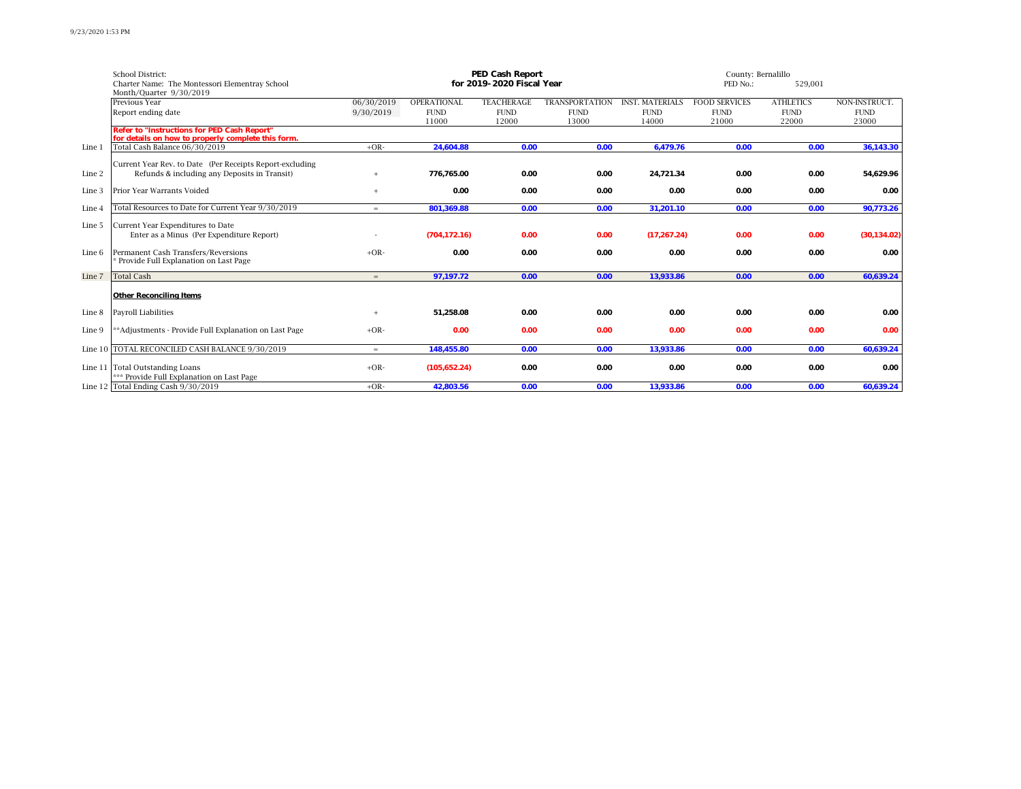|        | School District:                                         | <b>PED Cash Report</b> |                    |                           |                       |                        |                      | County: Bernalillo |               |  |  |
|--------|----------------------------------------------------------|------------------------|--------------------|---------------------------|-----------------------|------------------------|----------------------|--------------------|---------------|--|--|
|        | Charter Name: The Montessori Elementray School           |                        |                    | for 2019-2020 Fiscal Year |                       |                        | PED No.:             | 529,001            |               |  |  |
|        | Month/Quarter 9/30/2019                                  |                        |                    |                           |                       |                        |                      |                    |               |  |  |
|        | Previous Year                                            | 06/30/2019             | <b>OPERATIONAL</b> | <b>TEACHERAGE</b>         | <b>TRANSPORTATION</b> | <b>INST. MATERIALS</b> | <b>FOOD SERVICES</b> | <b>ATHLETICS</b>   | NON-INSTRUCT. |  |  |
|        | Report ending date                                       | 9/30/2019              | <b>FUND</b>        | <b>FUND</b>               | <b>FUND</b>           | <b>FUND</b>            | <b>FUND</b>          | <b>FUND</b>        | <b>FUND</b>   |  |  |
|        |                                                          |                        | 11000              | 12000                     | 13000                 | 14000                  | 21000                | 22000              | 23000         |  |  |
|        | <b>Refer to "Instructions for PED Cash Report"</b>       |                        |                    |                           |                       |                        |                      |                    |               |  |  |
|        | for details on how to properly complete this form.       |                        |                    |                           |                       |                        |                      |                    |               |  |  |
| Line 1 | Total Cash Balance 06/30/2019                            | $+OR-$                 | 24.604.88          | 0.00                      | 0.00                  | 6,479.76               | 0.00                 | 0.00               | 36,143.30     |  |  |
|        | Current Year Rev. to Date (Per Receipts Report-excluding |                        |                    |                           |                       |                        |                      |                    |               |  |  |
| Line 2 | Refunds & including any Deposits in Transit)             |                        | 776.765.00         | 0.00                      | 0.00                  | 24.721.34              | 0.00                 | 0.00               | 54,629.96     |  |  |
|        |                                                          |                        |                    |                           |                       |                        |                      |                    |               |  |  |
| Line 3 | Prior Year Warrants Voided                               | $\ddot{}$              | 0.00               | 0.00                      | 0.00                  | 0.00                   | 0.00                 | 0.00               | 0.00          |  |  |
|        |                                                          |                        |                    |                           |                       |                        |                      |                    |               |  |  |
| Line 4 | Total Resources to Date for Current Year 9/30/2019       | $=$                    | 801.369.88         | 0.00                      | 0.00                  | 31,201.10              | 0.00                 | 0.00               | 90,773.26     |  |  |
|        |                                                          |                        |                    |                           |                       |                        |                      |                    |               |  |  |
| Line 5 | Current Year Expenditures to Date                        |                        |                    |                           |                       |                        |                      |                    |               |  |  |
|        | Enter as a Minus (Per Expenditure Report)                |                        | (704.172.16)       | 0.00                      | 0.00                  | (17,267.24)            | 0.00                 | 0.00               | (30, 134.02)  |  |  |
|        |                                                          |                        |                    |                           |                       |                        |                      |                    |               |  |  |
| Line 6 | Permanent Cash Transfers/Reversions                      | $+OR-$                 | 0.00               | 0.00                      | 0.00                  | 0.00                   | 0.00                 | 0.00               | 0.00          |  |  |
|        | Provide Full Explanation on Last Page                    |                        |                    |                           |                       |                        |                      |                    |               |  |  |
| Line 7 | <b>Total Cash</b>                                        | $=$                    | 97,197.72          | 0.00                      | 0.00                  | 13.933.86              | 0.00                 | 0.00               | 60,639.24     |  |  |
|        |                                                          |                        |                    |                           |                       |                        |                      |                    |               |  |  |
|        | <b>Other Reconciling Items</b>                           |                        |                    |                           |                       |                        |                      |                    |               |  |  |
|        |                                                          |                        |                    |                           |                       |                        |                      |                    |               |  |  |
| Line 8 | <b>Payroll Liabilities</b>                               | $+$                    | 51.258.08          | 0.00                      | 0.00                  | 0.00                   | 0.00                 | 0.00               | 0.00          |  |  |
|        |                                                          |                        |                    |                           |                       |                        |                      |                    |               |  |  |
| Line 9 | **Adjustments - Provide Full Explanation on Last Page    | $+OR-$                 | 0.00               | 0.00                      | 0.00                  | 0.00                   | 0.00                 | 0.00               | 0.00          |  |  |
|        |                                                          |                        |                    |                           |                       |                        |                      |                    |               |  |  |
|        | Line 10 TOTAL RECONCILED CASH BALANCE 9/30/2019          | $=$                    | 148,455.80         | 0.00                      | 0.00                  | 13,933.86              | 0.00                 | 0.00               | 60,639.24     |  |  |
|        |                                                          |                        |                    |                           |                       |                        |                      |                    |               |  |  |
|        | Line 11 Total Outstanding Loans                          | $+OR-$                 | (105, 652.24)      | 0.00                      | 0.00                  | 0.00                   | 0.00                 | 0.00               | 0.00          |  |  |
|        | *** Provide Full Explanation on Last Page                |                        |                    |                           |                       |                        |                      |                    |               |  |  |
|        | Line 12 Total Ending Cash 9/30/2019                      | $+OR-$                 | 42.803.56          | 0.00                      | 0.00                  | 13.933.86              | 0.00                 | 0.00               | 60.639.24     |  |  |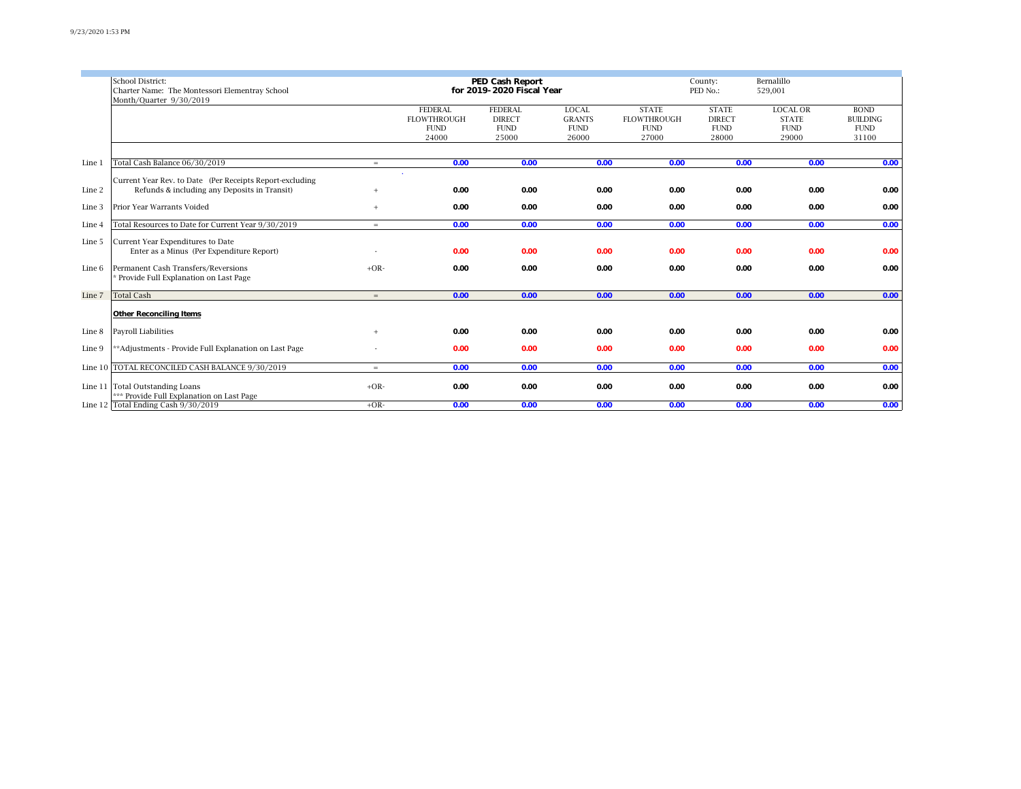|        | <b>School District:</b>                                  |                           |                    | <b>PED Cash Report</b> |               |                    | County:             | Bernalillo      |                 |
|--------|----------------------------------------------------------|---------------------------|--------------------|------------------------|---------------|--------------------|---------------------|-----------------|-----------------|
|        | Charter Name: The Montessori Elementray School           | for 2019-2020 Fiscal Year |                    |                        |               |                    | 529,001<br>PED No.: |                 |                 |
|        | Month/Quarter 9/30/2019                                  |                           |                    |                        |               |                    |                     |                 |                 |
|        |                                                          |                           | <b>FEDERAL</b>     | <b>FEDERAL</b>         | <b>LOCAL</b>  | <b>STATE</b>       | <b>STATE</b>        | <b>LOCAL OR</b> | <b>BOND</b>     |
|        |                                                          |                           | <b>FLOWTHROUGH</b> | <b>DIRECT</b>          | <b>GRANTS</b> | <b>FLOWTHROUGH</b> | <b>DIRECT</b>       | <b>STATE</b>    | <b>BUILDING</b> |
|        |                                                          |                           | <b>FUND</b>        | <b>FUND</b>            | <b>FUND</b>   | <b>FUND</b>        | <b>FUND</b>         | <b>FUND</b>     | <b>FUND</b>     |
|        |                                                          |                           | 24000              | 25000                  | 26000         | 27000              | 28000               | 29000           | 31100           |
|        |                                                          |                           |                    |                        |               |                    |                     |                 |                 |
|        |                                                          |                           |                    |                        |               |                    |                     |                 |                 |
| Line 1 | Total Cash Balance 06/30/2019                            | $=$                       | 0.00               | 0.00                   | 0.00          | 0.00               | 0.00                | 0.00            | 0.00            |
|        |                                                          |                           |                    |                        |               |                    |                     |                 |                 |
|        | Current Year Rev. to Date (Per Receipts Report-excluding |                           |                    |                        |               |                    |                     |                 |                 |
| Line 2 | Refunds & including any Deposits in Transit)             | $+$                       | 0.00               | 0.00                   | 0.00          | 0.00               | 0.00                | 0.00            | 0.00            |
| Line 3 | Prior Year Warrants Voided                               | $+$                       | 0.00               | 0.00                   | 0.00          | 0.00               | 0.00                | 0.00            | 0.00            |
|        |                                                          |                           |                    |                        |               |                    |                     |                 |                 |
| Line 4 | Total Resources to Date for Current Year 9/30/2019       | $=$                       | 0.00               | 0.00                   | 0.00          | 0.00               | 0.00                | 0.00            | 0.00            |
|        |                                                          |                           |                    |                        |               |                    |                     |                 |                 |
| Line 5 | Current Year Expenditures to Date                        |                           |                    |                        |               |                    |                     |                 |                 |
|        | Enter as a Minus (Per Expenditure Report)                |                           | 0.00               | 0.00                   | 0.00          | 0.00               | 0.00                | 0.00            | 0.00            |
| Line 6 | Permanent Cash Transfers/Reversions                      | $+OR-$                    | 0.00               | 0.00                   | 0.00          | 0.00               | 0.00                | 0.00            | 0.00            |
|        | Provide Full Explanation on Last Page                    |                           |                    |                        |               |                    |                     |                 |                 |
|        |                                                          |                           |                    |                        |               |                    |                     |                 |                 |
| Line 7 | <b>Total Cash</b>                                        | $=$                       | 0.00               | 0.00                   | 0.00          | 0.00               | 0.00                | 0.00            | 0.00            |
|        |                                                          |                           |                    |                        |               |                    |                     |                 |                 |
|        | <b>Other Reconciling Items</b>                           |                           |                    |                        |               |                    |                     |                 |                 |
|        |                                                          |                           |                    |                        |               |                    |                     |                 |                 |
| Line 8 | <b>Payroll Liabilities</b>                               | $+$                       | 0.00               | 0.00                   | 0.00          | 0.00               | 0.00                | 0.00            | 0.00            |
|        |                                                          |                           |                    |                        |               |                    |                     |                 |                 |
| Line 9 | **Adjustments - Provide Full Explanation on Last Page    |                           | 0.00               | 0.00                   | 0.00          | 0.00               | 0.00                | 0.00            | 0.00            |
|        | Line 10 TOTAL RECONCILED CASH BALANCE 9/30/2019          | $=$                       | 0.00               | 0.00                   | 0.00          | 0.00               | 0.00                | 0.00            | 0.00            |
|        |                                                          |                           |                    |                        |               |                    |                     |                 |                 |
|        | Line 11 Total Outstanding Loans                          | $+OR-$                    | 0.00               | 0.00                   | 0.00          | 0.00               | 0.00                | 0.00            | 0.00            |
|        | *** Provide Full Explanation on Last Page                |                           |                    |                        |               |                    |                     |                 |                 |
|        | Line 12 Total Ending Cash 9/30/2019                      | $+OR-$                    | 0.00               | 0.00                   | 0.00          | 0.00               | 0.00                | 0.00            | 0.00            |
|        |                                                          |                           |                    |                        |               |                    |                     |                 |                 |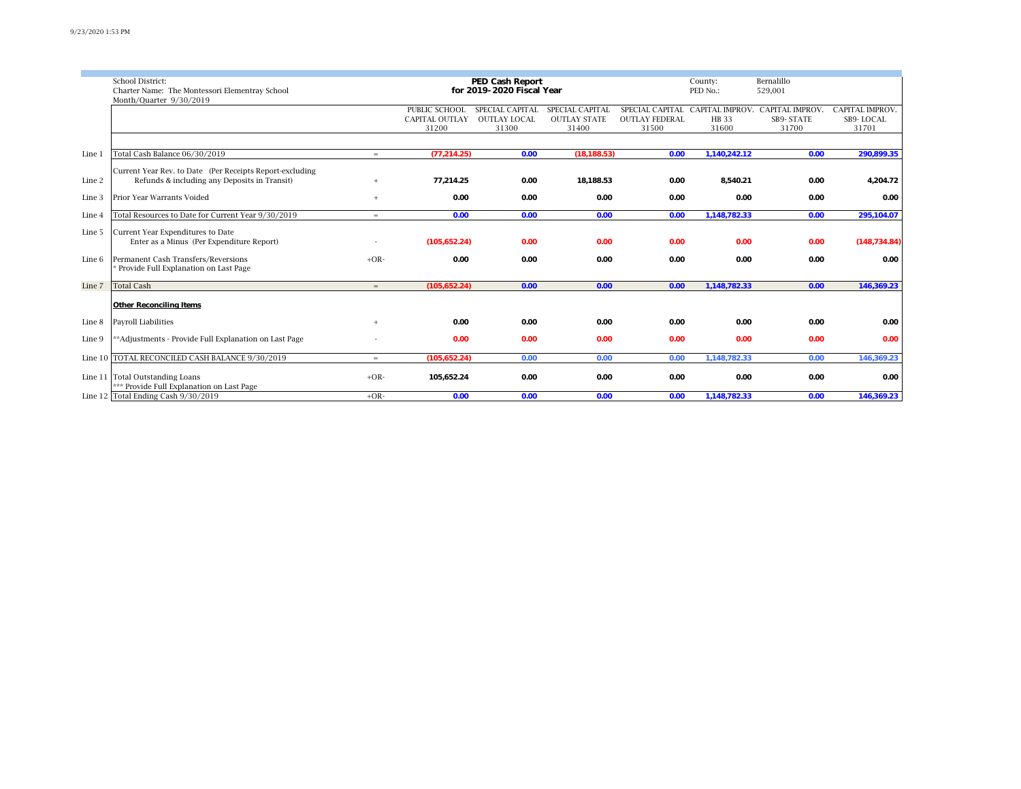|        |                                                           |                           |                       |                     |                     |                       | County:         |                        |                        |
|--------|-----------------------------------------------------------|---------------------------|-----------------------|---------------------|---------------------|-----------------------|-----------------|------------------------|------------------------|
|        | School District:<br><b>PED Cash Report</b>                |                           |                       |                     |                     |                       |                 | Bernalillo             |                        |
|        | Charter Name: The Montessori Elementray School            | for 2019-2020 Fiscal Year |                       |                     |                     |                       |                 | 529,001                |                        |
|        | Month/Ouarter 9/30/2019                                   |                           |                       |                     |                     |                       |                 |                        |                        |
|        |                                                           |                           | PUBLIC SCHOOL         | SPECIAL CAPITAL     | SPECIAL CAPITAL     | SPECIAL CAPITAL       | CAPITAL IMPROV. | <b>CAPITAL IMPROV.</b> | <b>CAPITAL IMPROV.</b> |
|        |                                                           |                           | <b>CAPITAL OUTLAY</b> | <b>OUTLAY LOCAL</b> | <b>OUTLAY STATE</b> | <b>OUTLAY FEDERAL</b> | HB 33           | SB9-STATE              | SB9-LOCAL              |
|        |                                                           |                           | 31200                 | 31300               | 31400               | 31500                 | 31600           | 31700                  | 31701                  |
|        |                                                           |                           |                       |                     |                     |                       |                 |                        |                        |
|        |                                                           |                           |                       |                     |                     |                       |                 |                        |                        |
| Line 1 | Total Cash Balance 06/30/2019                             | $=$                       | (77.214.25)           | 0.00                | (18.188.53)         | 0.00                  | 1,140,242.12    | 0.00                   | 290,899.35             |
|        |                                                           |                           |                       |                     |                     |                       |                 |                        |                        |
|        | Current Year Rev. to Date (Per Receipts Report-excluding) |                           |                       |                     |                     |                       |                 |                        |                        |
| Line 2 | Refunds & including any Deposits in Transit)              | $+$                       | 77.214.25             | 0.00                | 18,188.53           | 0.00                  | 8.540.21        | 0.00                   | 4,204.72               |
|        |                                                           |                           |                       |                     |                     |                       |                 |                        |                        |
| Line 3 | Prior Year Warrants Voided                                | $+$                       | 0.00                  | 0.00                | 0.00                | 0.00                  | 0.00            | 0.00                   | 0.00                   |
|        |                                                           |                           |                       |                     |                     |                       |                 |                        |                        |
| Line 4 | Total Resources to Date for Current Year 9/30/2019        | $=$                       | 0.00                  | 0.00                | 0.00                | 0.00                  | 1,148,782.33    | 0.00                   | 295,104.07             |
|        |                                                           |                           |                       |                     |                     |                       |                 |                        |                        |
| Line 5 | Current Year Expenditures to Date                         |                           |                       |                     |                     |                       |                 |                        |                        |
|        | Enter as a Minus (Per Expenditure Report)                 |                           | (105, 652.24)         | 0.00                | 0.00                | 0.00                  | 0.00            | 0.00                   | (148, 734.84)          |
|        |                                                           |                           |                       |                     |                     |                       |                 |                        |                        |
| Line 6 | Permanent Cash Transfers/Reversions                       | $+OR-$                    | 0.00                  | 0.00                | 0.00                | 0.00                  | 0.00            | 0.00                   | 0.00                   |
|        | Provide Full Explanation on Last Page                     |                           |                       |                     |                     |                       |                 |                        |                        |
|        |                                                           |                           |                       |                     |                     |                       |                 |                        |                        |
| Line 7 | <b>Total Cash</b>                                         | $=$                       | (105.652.24)          | 0.00                | 0.00                | 0.00                  | 1,148,782.33    | 0.00                   | 146,369.23             |
|        |                                                           |                           |                       |                     |                     |                       |                 |                        |                        |
|        | <b>Other Reconciling Items</b>                            |                           |                       |                     |                     |                       |                 |                        |                        |
|        |                                                           |                           |                       |                     |                     |                       |                 |                        |                        |
| Line 8 | <b>Payroll Liabilities</b>                                |                           | 0.00                  | 0.00                | 0.00                | 0.00                  | 0.00            | 0.00                   | 0.00                   |
|        |                                                           |                           |                       |                     |                     |                       |                 |                        |                        |
| Line 9 | **Adjustments - Provide Full Explanation on Last Page     |                           | 0.00                  | 0.00                | 0.00                | 0.00                  | 0.00            | 0.00                   | 0.00                   |
|        |                                                           |                           |                       |                     |                     |                       |                 |                        |                        |
|        | Line 10 TOTAL RECONCILED CASH BALANCE 9/30/2019           | $=$                       | (105, 652.24)         | 0.00                | 0.00                | 0.00                  | 1,148,782.33    | 0.00                   | 146,369.23             |
|        |                                                           |                           |                       |                     |                     |                       |                 |                        |                        |
|        | Line 11 Total Outstanding Loans                           | $+OR-$                    | 105,652.24            | 0.00                | 0.00                | 0.00                  | 0.00            | 0.00                   | 0.00                   |
|        | *** Provide Full Explanation on Last Page                 |                           |                       |                     |                     |                       |                 |                        |                        |
|        | Line 12 Total Ending Cash 9/30/2019                       | $+OR-$                    | 0.00                  | 0.00                | 0.00                | 0.00                  | 1,148,782.33    | 0.00                   | 146,369.23             |
|        |                                                           |                           |                       |                     |                     |                       |                 |                        |                        |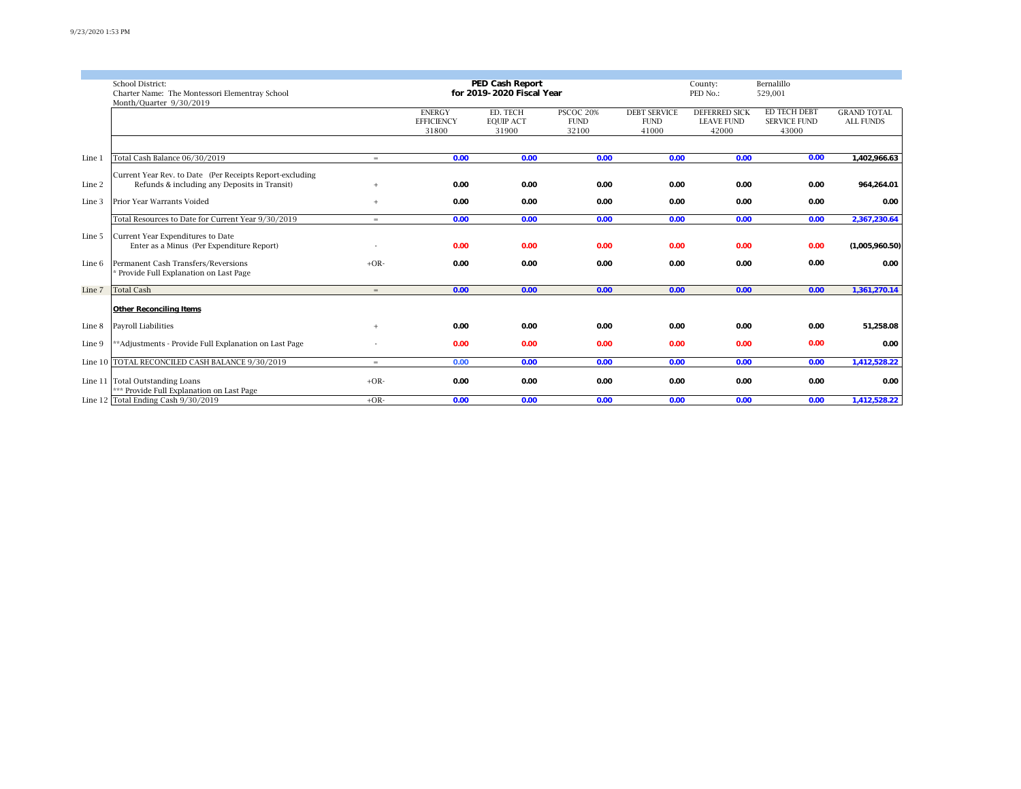|        | School District:                                                             |                           |                   | <b>PED Cash Report</b> |             |                     | County:              | Bernalillo          |                    |
|--------|------------------------------------------------------------------------------|---------------------------|-------------------|------------------------|-------------|---------------------|----------------------|---------------------|--------------------|
|        | Charter Name: The Montessori Elementray School                               | for 2019-2020 Fiscal Year |                   |                        |             |                     |                      |                     |                    |
|        | Month/Quarter 9/30/2019                                                      |                           |                   |                        |             |                     |                      |                     |                    |
|        |                                                                              |                           | <b>ENERGY</b>     | ED. TECH               | PSCOC 20%   | <b>DEBT SERVICE</b> | <b>DEFERRED SICK</b> | <b>ED TECH DEBT</b> | <b>GRAND TOTAL</b> |
|        |                                                                              |                           | <b>EFFICIENCY</b> | <b>EQUIP ACT</b>       | <b>FUND</b> | <b>FUND</b>         | <b>LEAVE FUND</b>    | <b>SERVICE FUND</b> | <b>ALL FUNDS</b>   |
|        |                                                                              |                           | 31800             | 31900                  | 32100       | 41000               | 42000                | 43000               |                    |
|        |                                                                              |                           |                   |                        |             |                     |                      |                     |                    |
|        |                                                                              |                           |                   |                        |             |                     |                      |                     |                    |
| Line 1 | Total Cash Balance 06/30/2019                                                | $=$                       | 0.00              | 0.00                   | 0.00        | 0.00                | 0.00                 | 0.00                | 1,402,966.63       |
|        |                                                                              |                           |                   |                        |             |                     |                      |                     |                    |
|        | Current Year Rev. to Date (Per Receipts Report-excluding                     |                           |                   |                        |             |                     |                      |                     |                    |
| Line 2 | Refunds & including any Deposits in Transit)                                 | $+$                       | 0.00              | 0.00                   | 0.00        | 0.00                | 0.00                 | 0.00                | 964,264.01         |
| Line 3 | Prior Year Warrants Voided                                                   | $+$                       | 0.00              | 0.00                   | 0.00        | 0.00                | 0.00                 | 0.00                | 0.00               |
|        |                                                                              |                           |                   |                        |             |                     |                      |                     |                    |
|        | Total Resources to Date for Current Year 9/30/2019                           | $=$                       | 0.00              | 0.00                   | 0.00        | 0.00                | 0.00                 | 0.00                | 2,367,230.64       |
|        |                                                                              |                           |                   |                        |             |                     |                      |                     |                    |
| Line 5 | Current Year Expenditures to Date                                            |                           |                   |                        |             |                     |                      |                     |                    |
|        | Enter as a Minus (Per Expenditure Report)                                    |                           | 0.00              | 0.00                   | 0.00        | 0.00                | 0.00                 | 0.00                | (1,005,960.50)     |
|        | Permanent Cash Transfers/Reversions                                          | $+OR-$                    |                   |                        |             |                     |                      | 0.00                | 0.00               |
| Line 6 | Provide Full Explanation on Last Page                                        |                           | 0.00              | 0.00                   | 0.00        | 0.00                | 0.00                 |                     |                    |
|        |                                                                              |                           |                   |                        |             |                     |                      |                     |                    |
| Line 7 | <b>Total Cash</b>                                                            | $=$                       | 0.00              | 0.00                   | 0.00        | 0.00                | 0.00                 | 0.00                | 1,361,270.14       |
|        |                                                                              |                           |                   |                        |             |                     |                      |                     |                    |
|        | <b>Other Reconciling Items</b>                                               |                           |                   |                        |             |                     |                      |                     |                    |
|        |                                                                              |                           |                   |                        |             |                     |                      |                     |                    |
| Line 8 | Payroll Liabilities                                                          | $+$                       | 0.00              | 0.00                   | 0.00        | 0.00                | 0.00                 | 0.00                | 51,258.08          |
|        |                                                                              |                           |                   |                        |             |                     |                      |                     |                    |
| Line 9 | **Adjustments - Provide Full Explanation on Last Page                        |                           | 0.00              | 0.00                   | 0.00        | 0.00                | 0.00                 | 0.00                | 0.00               |
|        |                                                                              |                           |                   |                        |             |                     |                      |                     |                    |
|        | Line 10 TOTAL RECONCILED CASH BALANCE 9/30/2019                              | $=$                       | 0.00              | 0.00                   | 0.00        | 0.00                | 0.00                 | 0.00                | 1,412,528.22       |
|        |                                                                              |                           |                   |                        |             |                     |                      |                     |                    |
|        | Line 11 Total Outstanding Loans<br>*** Provide Full Explanation on Last Page | $+OR-$                    | 0.00              | 0.00                   | 0.00        | 0.00                | 0.00                 | 0.00                | 0.00               |
|        | Line 12 Total Ending Cash 9/30/2019                                          | $+OR-$                    |                   | 0.00                   |             |                     |                      |                     | 1,412,528.22       |
|        |                                                                              |                           | 0.00              |                        | 0.00        | 0.00                | 0.00                 | 0.00                |                    |